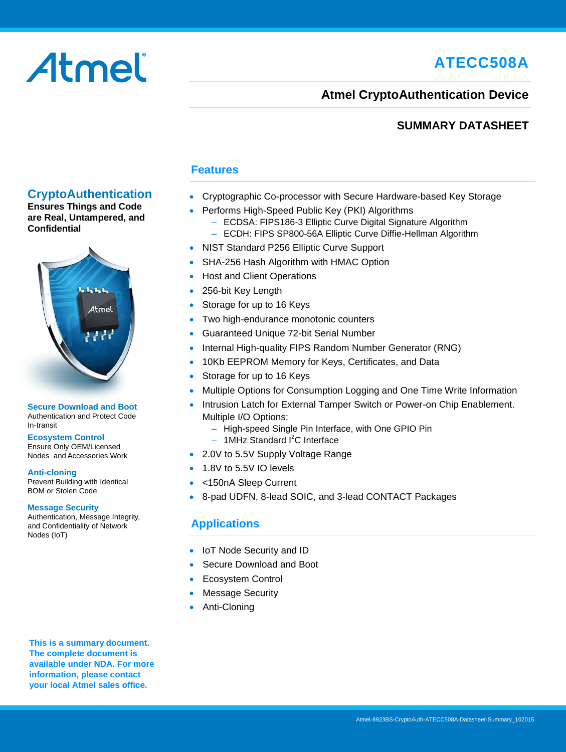# **ATECC508A**

# Atmel

#### **Atmel CryptoAuthentication Device**

#### **SUMMARY DATASHEET**

#### **CryptoAuthentication**

**Ensures Things and Code are Real, Untampered, and Confidential**



#### **Secure Download and Boot** Authentication and Protect Code In-transit

#### **Ecosystem Control**

Ensure Only OEM/Licensed Nodes and Accessories Work

#### **Anti-cloning**

Prevent Building with Identical BOM or Stolen Code

#### **Message Security**

Authentication, Message Integrity, and Confidentiality of Network Nodes (IoT)

#### **Features**

- Cryptographic Co-processor with Secure Hardware-based Key Storage
- Performs High-Speed Public Key (PKI) Algorithms
	- ECDSA: FIPS186-3 Elliptic Curve Digital Signature Algorithm
	- ECDH: FIPS SP800-56A Elliptic Curve Diffie-Hellman Algorithm
- NIST Standard P256 Elliptic Curve Support
- SHA-256 Hash Algorithm with HMAC Option
- Host and Client Operations
- 256-bit Key Length
- Storage for up to 16 Keys
- Two high-endurance monotonic counters
- Guaranteed Unique 72-bit Serial Number
- Internal High-quality FIPS Random Number Generator (RNG)
- 10Kb EEPROM Memory for Keys, Certificates, and Data
- Storage for up to 16 Keys
- Multiple Options for Consumption Logging and One Time Write Information
- Intrusion Latch for External Tamper Switch or Power-on Chip Enablement. Multiple I/O Options:
	- High-speed Single Pin Interface, with One GPIO Pin
	- $-$  1MHz Standard  $I^2C$  Interface
- 2.0V to 5.5V Supply Voltage Range
- 1.8V to 5.5V IO levels
- <150nA Sleep Current
- 8-pad UDFN, 8-lead SOIC, and 3-lead CONTACT Packages

#### **Applications**

- IoT Node Security and ID
- Secure Download and Boot
- Ecosystem Control
- Message Security
- Anti-Cloning

**This is a summary document. The complete document is available under NDA. For more information, please contact your local Atmel sales office.**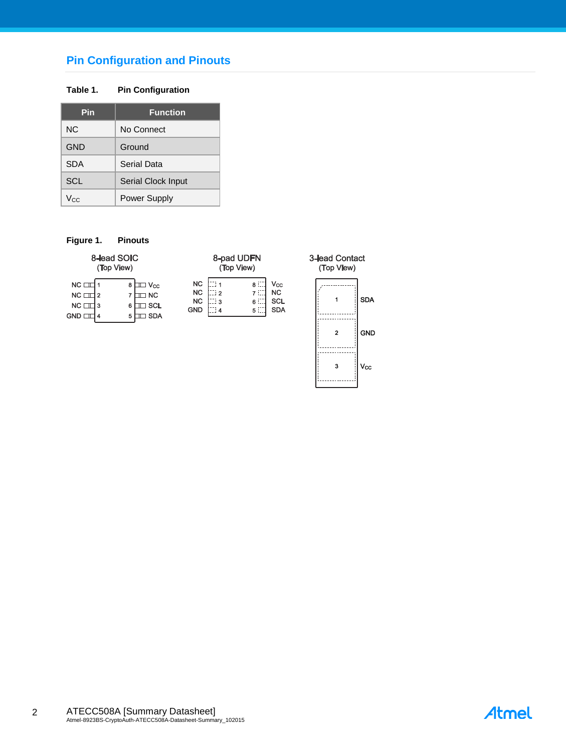#### **Pin Configuration and Pinouts**

#### **Table 1. Pin Configuration**

| Pin        | <b>Function</b>    |
|------------|--------------------|
| NC.        | No Connect         |
| GND        | Ground             |
| <b>SDA</b> | Serial Data        |
| <b>SCL</b> | Serial Clock Input |
| Vcc        | Power Supply       |

#### **Figure 1. Pinouts**

|                                                                | 8-lead SOIC<br>(Top View)                                                         |                                                                          | 8-pad UDFN<br>(Top View)                                                  | $3$ -lea<br>(Т |
|----------------------------------------------------------------|-----------------------------------------------------------------------------------|--------------------------------------------------------------------------|---------------------------------------------------------------------------|----------------|
| $NC \Box$<br>$NC \Box$<br>2<br>$NC \Box$<br>-3<br><b>GND D</b> | $\mathbb{I} \Box$ $\mathsf{V_{cc}}$<br>8<br><b>NC</b><br><b>SCL</b><br><b>SDA</b> | <b>NC</b><br><b>NC</b><br>ં 2<br><b>NC</b><br>ี : 3<br><b>GND</b><br>: 4 | Vcc<br>8 :<br><b>NC</b><br>7 E.<br><b>SCL</b><br>6 L<br><b>SDA</b><br>5 : |                |



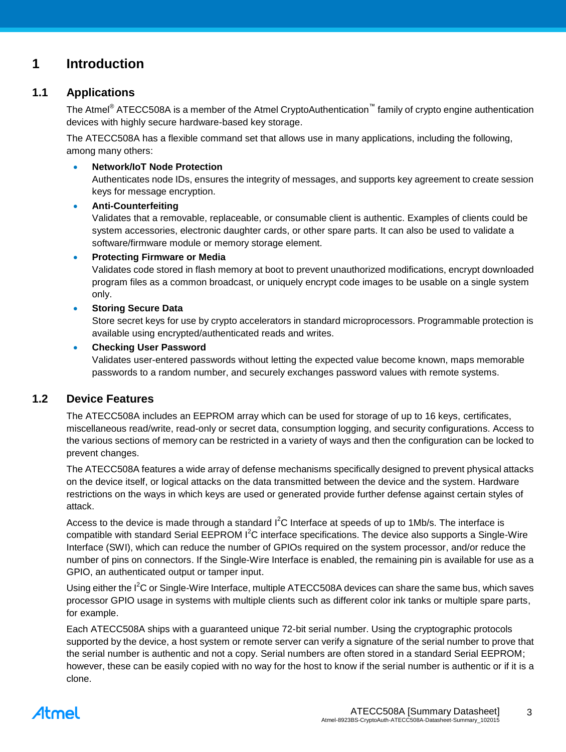#### **1 Introduction**

#### **1.1 Applications**

The Atmel<sup>®</sup> ATECC508A is a member of the Atmel CryptoAuthentication<sup>™</sup> family of crypto engine authentication devices with highly secure hardware-based key storage.

The ATECC508A has a flexible command set that allows use in many applications, including the following, among many others:

#### **Network/IoT Node Protection**

Authenticates node IDs, ensures the integrity of messages, and supports key agreement to create session keys for message encryption.

#### **Anti-Counterfeiting**

Validates that a removable, replaceable, or consumable client is authentic. Examples of clients could be system accessories, electronic daughter cards, or other spare parts. It can also be used to validate a software/firmware module or memory storage element.

#### **Protecting Firmware or Media**

Validates code stored in flash memory at boot to prevent unauthorized modifications, encrypt downloaded program files as a common broadcast, or uniquely encrypt code images to be usable on a single system only.

#### **Storing Secure Data**

Store secret keys for use by crypto accelerators in standard microprocessors. Programmable protection is available using encrypted/authenticated reads and writes.

#### **Checking User Password**

Validates user-entered passwords without letting the expected value become known, maps memorable passwords to a random number, and securely exchanges password values with remote systems.

#### **1.2 Device Features**

The ATECC508A includes an EEPROM array which can be used for storage of up to 16 keys, certificates, miscellaneous read/write, read-only or secret data, consumption logging, and security configurations. Access to the various sections of memory can be restricted in a variety of ways and then the configuration can be locked to prevent changes.

The ATECC508A features a wide array of defense mechanisms specifically designed to prevent physical attacks on the device itself, or logical attacks on the data transmitted between the device and the system. Hardware restrictions on the ways in which keys are used or generated provide further defense against certain styles of attack.

Access to the device is made through a standard  $I^2C$  Interface at speeds of up to 1Mb/s. The interface is compatible with standard Serial EEPROM I<sup>2</sup>C interface specifications. The device also supports a Single-Wire Interface (SWI), which can reduce the number of GPIOs required on the system processor, and/or reduce the number of pins on connectors. If the Single-Wire Interface is enabled, the remaining pin is available for use as a GPIO, an authenticated output or tamper input.

Using either the I<sup>2</sup>C or Single-Wire Interface, multiple ATECC508A devices can share the same bus, which saves processor GPIO usage in systems with multiple clients such as different color ink tanks or multiple spare parts, for example.

Each ATECC508A ships with a guaranteed unique 72-bit serial number. Using the cryptographic protocols supported by the device, a host system or remote server can verify a signature of the serial number to prove that the serial number is authentic and not a copy. Serial numbers are often stored in a standard Serial EEPROM; however, these can be easily copied with no way for the host to know if the serial number is authentic or if it is a clone.

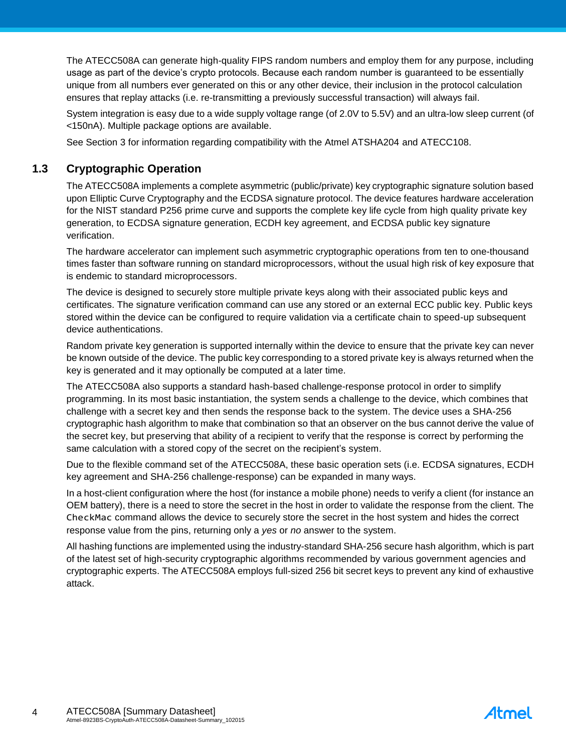The ATECC508A can generate high-quality FIPS random numbers and employ them for any purpose, including usage as part of the device's crypto protocols. Because each random number is guaranteed to be essentially unique from all numbers ever generated on this or any other device, their inclusion in the protocol calculation ensures that replay attacks (i.e. re-transmitting a previously successful transaction) will always fail.

System integration is easy due to a wide supply voltage range (of 2.0V to 5.5V) and an ultra-low sleep current (of <150nA). Multiple package options are available.

See Section [3](#page-8-0) for information regarding compatibility with the Atmel ATSHA204 and ATECC108.

#### **1.3 Cryptographic Operation**

The ATECC508A implements a complete asymmetric (public/private) key cryptographic signature solution based upon Elliptic Curve Cryptography and the ECDSA signature protocol. The device features hardware acceleration for the NIST standard P256 prime curve and supports the complete key life cycle from high quality private key generation, to ECDSA signature generation, ECDH key agreement, and ECDSA public key signature verification.

The hardware accelerator can implement such asymmetric cryptographic operations from ten to one-thousand times faster than software running on standard microprocessors, without the usual high risk of key exposure that is endemic to standard microprocessors.

The device is designed to securely store multiple private keys along with their associated public keys and certificates. The signature verification command can use any stored or an external ECC public key. Public keys stored within the device can be configured to require validation via a certificate chain to speed-up subsequent device authentications.

Random private key generation is supported internally within the device to ensure that the private key can never be known outside of the device. The public key corresponding to a stored private key is always returned when the key is generated and it may optionally be computed at a later time.

The ATECC508A also supports a standard hash-based challenge-response protocol in order to simplify programming. In its most basic instantiation, the system sends a challenge to the device, which combines that challenge with a secret key and then sends the response back to the system. The device uses a SHA-256 cryptographic hash algorithm to make that combination so that an observer on the bus cannot derive the value of the secret key, but preserving that ability of a recipient to verify that the response is correct by performing the same calculation with a stored copy of the secret on the recipient's system.

Due to the flexible command set of the ATECC508A, these basic operation sets (i.e. ECDSA signatures, ECDH key agreement and SHA-256 challenge-response) can be expanded in many ways.

In a host-client configuration where the host (for instance a mobile phone) needs to verify a client (for instance an OEM battery), there is a need to store the secret in the host in order to validate the response from the client. The CheckMac command allows the device to securely store the secret in the host system and hides the correct response value from the pins, returning only a *yes* or *no* answer to the system.

All hashing functions are implemented using the industry-standard SHA-256 secure hash algorithm, which is part of the latest set of high-security cryptographic algorithms recommended by various government agencies and cryptographic experts. The ATECC508A employs full-sized 256 bit secret keys to prevent any kind of exhaustive attack.

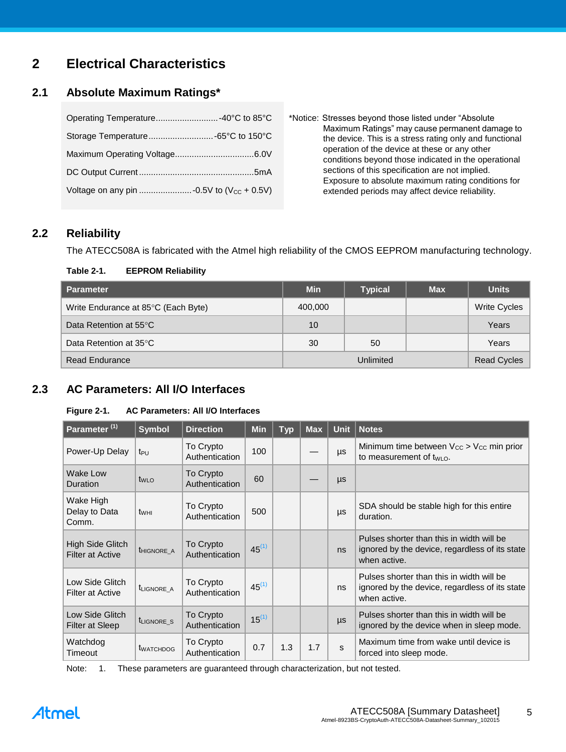### **2 Electrical Characteristics**

#### **2.1 Absolute Maximum Ratings\***

| Operating Temperature -40°C to 85°C |  |
|-------------------------------------|--|
|                                     |  |
|                                     |  |
|                                     |  |
|                                     |  |

\*Notice: Stresses beyond those listed under "Absolute Maximum Ratings" may cause permanent damage to the device. This is a stress rating only and functional operation of the device at these or any other conditions beyond those indicated in the operational sections of this specification are not implied. Exposure to absolute maximum rating conditions for extended periods may affect device reliability.

#### **2.2 Reliability**

The ATECC508A is fabricated with the Atmel high reliability of the CMOS EEPROM manufacturing technology.

#### **Table 2-1. EEPROM Reliability**

| Parameter                           | <b>Min</b> | <b>Typical</b> | <b>Max</b> | <b>Units</b>        |
|-------------------------------------|------------|----------------|------------|---------------------|
| Write Endurance at 85°C (Each Byte) | 400,000    |                |            | <b>Write Cycles</b> |
| Data Retention at 55°C              | 10         |                |            | Years               |
| Data Retention at 35°C              | 30         | 50             |            | Years               |
| <b>Read Endurance</b>               | Unlimited  |                |            | <b>Read Cycles</b>  |

#### **2.3 AC Parameters: All I/O Interfaces**

#### **Figure 2-1. AC Parameters: All I/O Interfaces**

| Parameter <sup>(1)</sup>                    | <b>Symbol</b>          | <b>Direction</b>            | <b>Min</b> | <b>Typ</b> | <b>Max</b> | <b>Unit</b> | <b>Notes</b>                                                                                                |
|---------------------------------------------|------------------------|-----------------------------|------------|------------|------------|-------------|-------------------------------------------------------------------------------------------------------------|
| Power-Up Delay                              | t <sub>PU</sub>        | To Crypto<br>Authentication | 100        |            |            | $\mu s$     | Minimum time between $V_{CC} > V_{CC}$ min prior<br>to measurement of $t_{WLO}$ .                           |
| Wake Low<br>Duration                        | $t_{WLO}$              | To Crypto<br>Authentication | 60         |            |            | $\mu s$     |                                                                                                             |
| Wake High<br>Delay to Data<br>Comm.         | twнı                   | To Crypto<br>Authentication | 500        |            |            | $\mu s$     | SDA should be stable high for this entire<br>duration.                                                      |
| High Side Glitch<br><b>Filter at Active</b> | <b>THIGNORE A</b>      | To Crypto<br>Authentication | $45^{(1)}$ |            |            | ns          | Pulses shorter than this in width will be<br>ignored by the device, regardless of its state<br>when active. |
| Low Side Glitch<br><b>Filter at Active</b>  | t <sub>LIGNORE</sub> A | To Crypto<br>Authentication | $45^{(1)}$ |            |            | ns          | Pulses shorter than this in width will be<br>ignored by the device, regardless of its state<br>when active. |
| Low Side Glitch<br>Filter at Sleep          | t <sub>LIGNORE</sub> S | To Crypto<br>Authentication | $15^{(1)}$ |            |            | $\mu s$     | Pulses shorter than this in width will be<br>ignored by the device when in sleep mode.                      |
| Watchdog<br>Timeout                         | <b>t</b> WATCHDOG      | To Crypto<br>Authentication | 0.7        | 1.3        | 1.7        | S           | Maximum time from wake until device is<br>forced into sleep mode.                                           |

Note: 1. These parameters are guaranteed through characterization, but not tested.

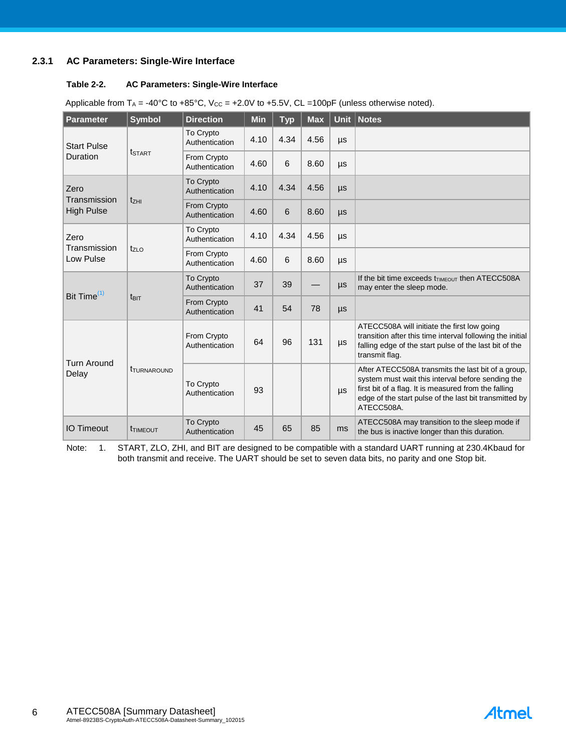#### **2.3.1 AC Parameters: Single-Wire Interface**

#### **Table 2-2. AC Parameters: Single-Wire Interface**

| Parameter                         | <b>Symbol</b>                        | <b>Direction</b>                   | Min  | <b>Typ</b> | <b>Max</b> |         | Unit   Notes                                                                                                                                                                                                                            |
|-----------------------------------|--------------------------------------|------------------------------------|------|------------|------------|---------|-----------------------------------------------------------------------------------------------------------------------------------------------------------------------------------------------------------------------------------------|
| <b>Start Pulse</b>                |                                      | <b>To Crypto</b><br>Authentication | 4.10 | 4.34       | 4.56       | μs      |                                                                                                                                                                                                                                         |
| Duration                          | <b>t</b> start                       | From Crypto<br>Authentication      | 4.60 | 6          | 8.60       | μs      |                                                                                                                                                                                                                                         |
| Zero                              |                                      | To Crypto<br>Authentication        | 4.10 | 4.34       | 4.56       | $\mu s$ |                                                                                                                                                                                                                                         |
| Transmission<br><b>High Pulse</b> | $t_{ZHI}$                            | From Crypto<br>Authentication      | 4.60 | 6          | 8.60       | $\mu s$ |                                                                                                                                                                                                                                         |
| Zero                              |                                      | To Crypto<br>Authentication        | 4.10 | 4.34       | 4.56       | μs      |                                                                                                                                                                                                                                         |
| Transmission<br>Low Pulse         | $t_{ZLO}$                            | From Crypto<br>Authentication      | 4.60 | 6          | 8.60       | μs      |                                                                                                                                                                                                                                         |
| Bit Time <sup>(1)</sup>           |                                      | <b>To Crypto</b><br>Authentication | 37   | 39         |            | μs      | If the bit time exceeds $t_{\text{TIMEOUT}}$ then ATECC508A<br>may enter the sleep mode.                                                                                                                                                |
|                                   | t <sub>BIT</sub>                     | From Crypto<br>Authentication      | 41   | 54         | 78         | $\mu s$ |                                                                                                                                                                                                                                         |
| <b>Turn Around</b>                |                                      | From Crypto<br>Authentication      | 64   | 96         | 131        | μs      | ATECC508A will initiate the first low going<br>transition after this time interval following the initial<br>falling edge of the start pulse of the last bit of the<br>transmit flag.                                                    |
| Delay                             | <b><i>t<sub>TURNAROUND</sub></i></b> | To Crypto<br>Authentication        | 93   |            |            | μs      | After ATECC508A transmits the last bit of a group,<br>system must wait this interval before sending the<br>first bit of a flag. It is measured from the falling<br>edge of the start pulse of the last bit transmitted by<br>ATECC508A. |
| <b>IO Timeout</b>                 | <b>T</b> TIMEOUT                     | To Crypto<br>Authentication        | 45   | 65         | 85         | ms      | ATECC508A may transition to the sleep mode if<br>the bus is inactive longer than this duration.                                                                                                                                         |

Applicable from  $T_A = -40^{\circ}C$  to  $+85^{\circ}C$ ,  $V_{CC} = +2.0V$  to  $+5.5V$ , CL =100pF (unless otherwise noted).

Note: 1. START, ZLO, ZHI, and BIT are designed to be compatible with a standard UART running at 230.4Kbaud for both transmit and receive. The UART should be set to seven data bits, no parity and one Stop bit.

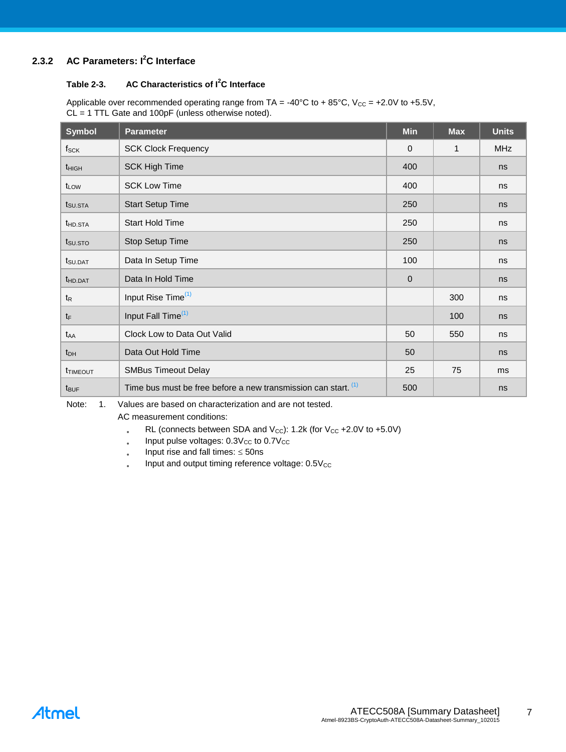#### **2.3.2 AC Parameters: I<sup>2</sup>C Interface**

#### **Table 2-3. AC Characteristics of I<sup>2</sup>C Interface**

Applicable over recommended operating range from TA = -40°C to +85°C,  $V_{CC}$  = +2.0V to +5.5V, CL = 1 TTL Gate and 100pF (unless otherwise noted).

| <b>Symbol</b>       | <b>Parameter</b>                                               | <b>Min</b>   | <b>Max</b> | <b>Units</b> |
|---------------------|----------------------------------------------------------------|--------------|------------|--------------|
| $f_{\rm SCK}$       | <b>SCK Clock Frequency</b>                                     | $\mathbf{0}$ | 1          | <b>MHz</b>   |
| $t_{HIGH}$          | <b>SCK High Time</b>                                           | 400          |            | ns           |
| t <sub>LOW</sub>    | <b>SCK Low Time</b>                                            | 400          |            | ns           |
| t <sub>SU.STA</sub> | <b>Start Setup Time</b>                                        | 250          |            | ns           |
| t <sub>HD.STA</sub> | <b>Start Hold Time</b>                                         | 250          |            | ns           |
| t <sub>su.sto</sub> | Stop Setup Time                                                | 250          |            | ns           |
| t <sub>SU.DAT</sub> | Data In Setup Time                                             | 100          |            | ns           |
| t <sub>HD.DAT</sub> | Data In Hold Time                                              | $\mathbf{0}$ |            | ns           |
| $t_{\mathsf{R}}$    | Input Rise Time <sup>(1)</sup>                                 |              | 300        | ns           |
| $t_{F}$             | Input Fall Time <sup>(1)</sup>                                 |              | 100        | ns           |
| t <sub>AA</sub>     | Clock Low to Data Out Valid                                    | 50           | 550        | ns           |
| $t_{DH}$            | Data Out Hold Time                                             | 50           |            | ns           |
| <b>THMEOUT</b>      | <b>SMBus Timeout Delay</b>                                     | 25           | 75         | ms           |
| $t_{\text{BUF}}$    | Time bus must be free before a new transmission can start. (1) | 500          |            | ns           |

Note: 1. Values are based on characterization and are not tested.

AC measurement conditions:

- RL (connects between SDA and  $V_{CC}$ ): 1.2k (for  $V_{CC}$  +2.0V to +5.0V)
- $\bullet$ Input pulse voltages:  $0.3V_{CC}$  to  $0.7V_{CC}$
- $\ddot{\phantom{0}}$ Input rise and fall times:  $\leq$  50ns
- $\bullet$ Input and output timing reference voltage:  $0.5V_{CC}$

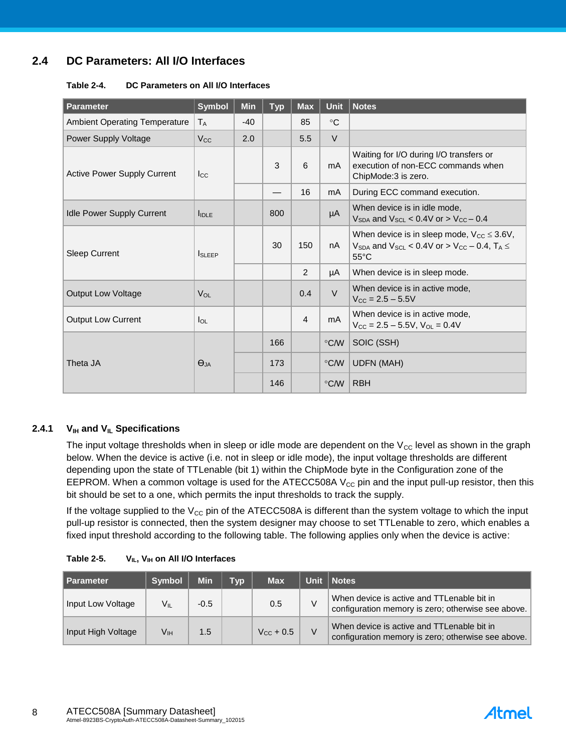#### **2.4 DC Parameters: All I/O Interfaces**

| Table 2-4. | DC Parameters on All I/O Interfaces |  |
|------------|-------------------------------------|--|
|------------|-------------------------------------|--|

| Parameter                            | <b>Symbol</b> | <b>Min</b> | <b>Typ</b> | <b>Max</b>     | <b>Unit</b>   | <b>Notes</b>                                                                                                                           |
|--------------------------------------|---------------|------------|------------|----------------|---------------|----------------------------------------------------------------------------------------------------------------------------------------|
| <b>Ambient Operating Temperature</b> | $T_A$         | $-40$      |            | 85             | $^{\circ}C$   |                                                                                                                                        |
| <b>Power Supply Voltage</b>          | $V_{\rm CC}$  | 2.0        |            | 5.5            | $\vee$        |                                                                                                                                        |
| Active Power Supply Current          | $_{\rm lcc}$  |            | 3          | 6              | mA            | Waiting for I/O during I/O transfers or<br>execution of non-ECC commands when<br>ChipMode:3 is zero.                                   |
|                                      |               |            |            | 16             | mA            | During ECC command execution.                                                                                                          |
| <b>Idle Power Supply Current</b>     | <b>I</b> IDLE |            | 800        |                | μA            | When device is in idle mode,<br>$V_{SDA}$ and $V_{SCI}$ < 0.4V or > $V_{CC}$ – 0.4                                                     |
| <b>Sleep Current</b>                 | <b>ISLEEP</b> |            | 30         | 150            | nA            | When device is in sleep mode, $V_{CC} \leq 3.6V$ ,<br>$V_{SDA}$ and $V_{SCL}$ < 0.4V or > $V_{CC}$ – 0.4, $T_A \leq$<br>$55^{\circ}$ C |
|                                      |               |            |            | 2              | μA            | When device is in sleep mode.                                                                                                          |
| <b>Output Low Voltage</b>            | $V_{OL}$      |            |            | 0.4            | $\vee$        | When device is in active mode,<br>$V_{\text{CC}} = 2.5 - 5.5V$                                                                         |
| <b>Output Low Current</b>            | $I_{OL}$      |            |            | $\overline{4}$ | mA.           | When device is in active mode,<br>$V_{\text{CC}} = 2.5 - 5.5V$ , $V_{\text{OL}} = 0.4V$                                                |
|                                      |               |            | 166        |                | $\degree$ C/W | SOIC (SSH)                                                                                                                             |
| Theta JA                             | $\Theta$ JA   |            | 173        |                | $\degree$ C/W | <b>UDFN (MAH)</b>                                                                                                                      |
|                                      |               |            | 146        |                | $\degree$ C/W | <b>RBH</b>                                                                                                                             |

#### **2.4.1 VIH and VIL Specifications**

The input voltage thresholds when in sleep or idle mode are dependent on the  $V_{CC}$  level as shown in the graph below. When the device is active (i.e. not in sleep or idle mode), the input voltage thresholds are different depending upon the state of TTLenable (bit 1) within the ChipMode byte in the Configuration zone of the EEPROM. When a common voltage is used for the ATECC508A  $V_{CC}$  pin and the input pull-up resistor, then this bit should be set to a one, which permits the input thresholds to track the supply.

If the voltage supplied to the  $V_{CC}$  pin of the ATECC508A is different than the system voltage to which the input pull-up resistor is connected, then the system designer may choose to set TTLenable to zero, which enables a fixed input threshold according to the following table. The following applies only when the device is active:

| <b>Parameter</b>   | <b>Symbol</b> | <b>Min</b> | Tvp | <b>Max</b>         | Unit   Notes                                                                                     |
|--------------------|---------------|------------|-----|--------------------|--------------------------------------------------------------------------------------------------|
| Input Low Voltage  | Vıı           | $-0.5$     |     | 0.5                | When device is active and TTLenable bit in<br>configuration memory is zero; otherwise see above. |
| Input High Voltage | Vıн           | 1.5        |     | $V_{\rm CC}$ + 0.5 | When device is active and TTLenable bit in<br>configuration memory is zero; otherwise see above. |

**Table 2-5. VIL, VIH on All I/O Interfaces**

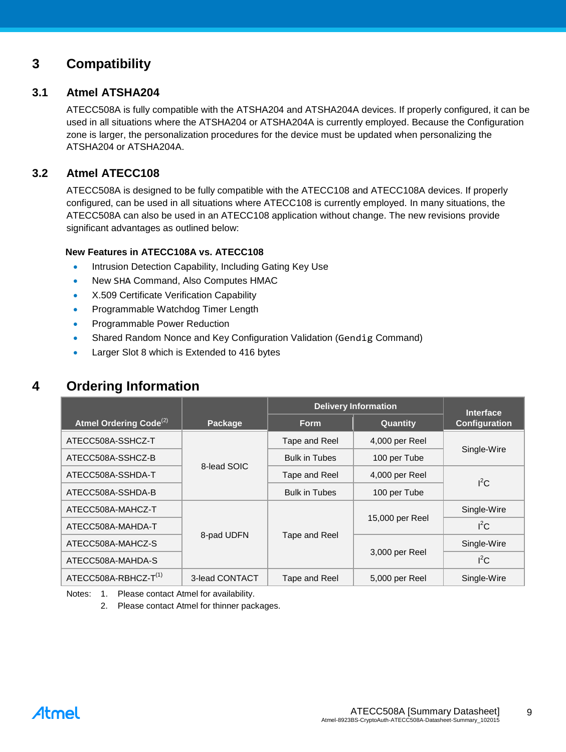#### <span id="page-8-0"></span>**3 Compatibility**

#### **3.1 Atmel ATSHA204**

ATECC508A is fully compatible with the ATSHA204 and ATSHA204A devices. If properly configured, it can be used in all situations where the ATSHA204 or ATSHA204A is currently employed. Because the Configuration zone is larger, the personalization procedures for the device must be updated when personalizing the ATSHA204 or ATSHA204A.

#### **3.2 Atmel ATECC108**

ATECC508A is designed to be fully compatible with the ATECC108 and ATECC108A devices. If properly configured, can be used in all situations where ATECC108 is currently employed. In many situations, the ATECC508A can also be used in an ATECC108 application without change. The new revisions provide significant advantages as outlined below:

#### **New Features in ATECC108A vs. ATECC108**

- Intrusion Detection Capability, Including Gating Key Use
- New SHA Command, Also Computes HMAC
- X.509 Certificate Verification Capability
- Programmable Watchdog Timer Length
- Programmable Power Reduction
- Shared Random Nonce and Key Configuration Validation (Gendig Command)
- Larger Slot 8 which is Extended to 416 bytes

#### **4 Ordering Information**

|                                    |                |                      | <b>Delivery Information</b> | <b>Interface</b>     |
|------------------------------------|----------------|----------------------|-----------------------------|----------------------|
| Atmel Ordering Code <sup>(2)</sup> | Package        | <b>Form</b>          | Quantity                    | <b>Configuration</b> |
| ATECC508A-SSHCZ-T                  |                | Tape and Reel        | 4,000 per Reel              |                      |
| ATECC508A-SSHCZ-B                  |                | <b>Bulk in Tubes</b> | 100 per Tube                | Single-Wire          |
| ATECC508A-SSHDA-T                  | 8-lead SOIC    | Tape and Reel        | 4,000 per Reel              | $I^2C$               |
| ATECC508A-SSHDA-B                  |                | <b>Bulk in Tubes</b> | 100 per Tube                |                      |
| ATECC508A-MAHCZ-T                  |                |                      |                             | Single-Wire          |
| ATECC508A-MAHDA-T                  |                | Tape and Reel        | 15,000 per Reel             | $I^2C$               |
| ATECC508A-MAHCZ-S                  | 8-pad UDFN     |                      |                             | Single-Wire          |
| ATECC508A-MAHDA-S                  |                |                      | 3,000 per Reel              | $I^2C$               |
| ATECC508A-RBHCZ-T <sup>(1)</sup>   | 3-lead CONTACT | Tape and Reel        | 5,000 per Reel              | Single-Wire          |

Notes: 1. Please contact Atmel for availability.

2. Please contact Atmel for thinner packages.

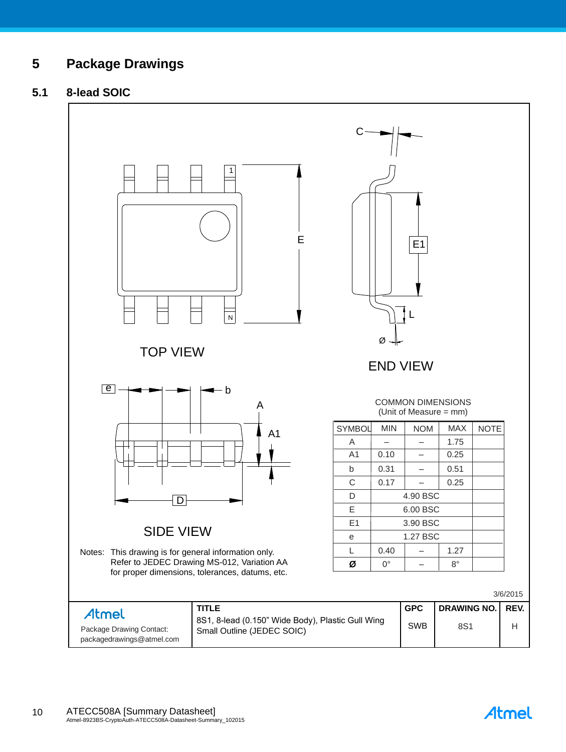#### **5 Package Drawings**

#### **5.1 8-lead SOIC**



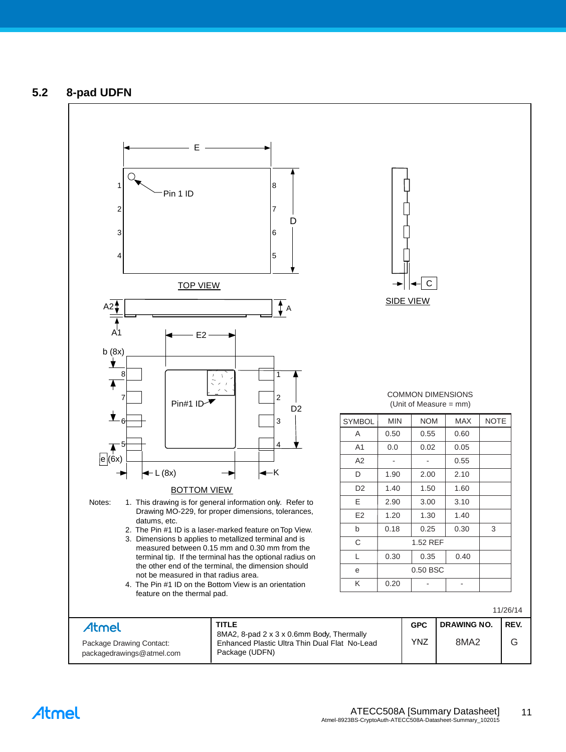#### **5.2 8-pad UDFN**



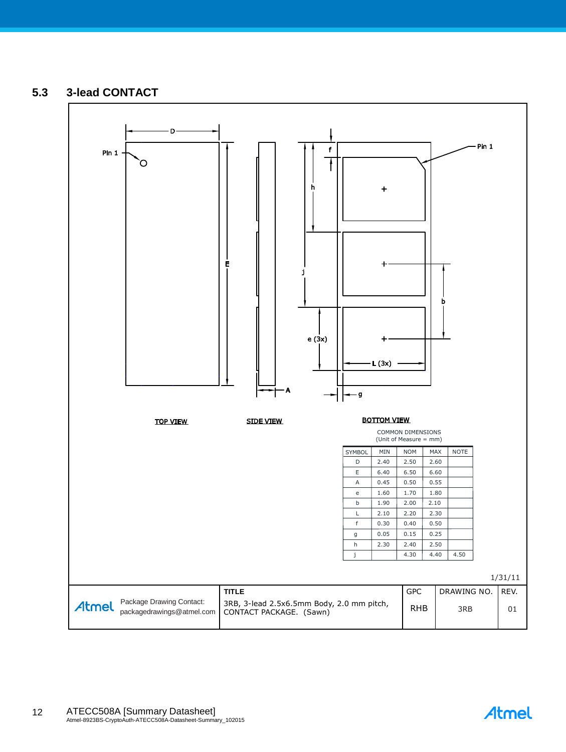#### **5.3 3-lead CONTACT**



Atmel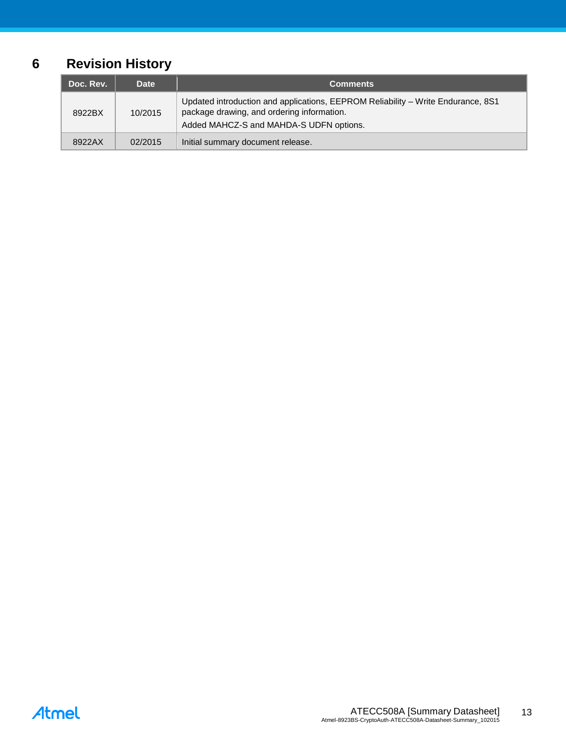## **6 Revision History**

| Doc. Rev. | <b>Date</b> | <b>Comments</b>                                                                                                                                                           |
|-----------|-------------|---------------------------------------------------------------------------------------------------------------------------------------------------------------------------|
| 8922BX    | 10/2015     | Updated introduction and applications, EEPROM Reliability - Write Endurance, 8S1<br>package drawing, and ordering information.<br>Added MAHCZ-S and MAHDA-S UDFN options. |
| 8922AX    | 02/2015     | Initial summary document release.                                                                                                                                         |